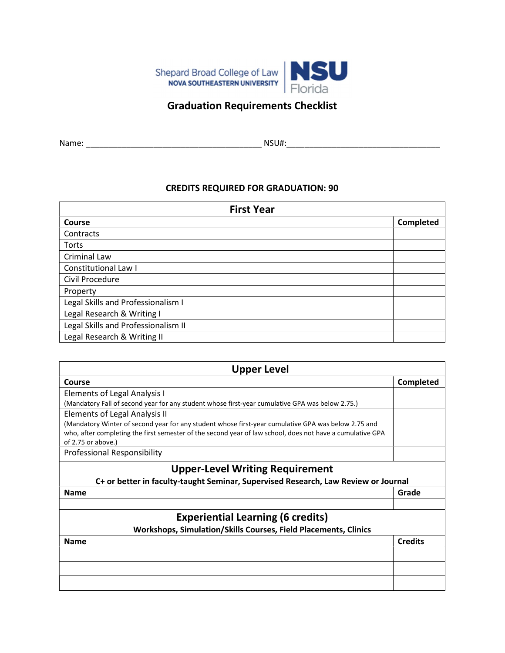

## Graduation Requirements Checklist

| Name: |  |
|-------|--|

Name: \_\_\_\_\_\_\_\_\_\_\_\_\_\_\_\_\_\_\_\_\_\_\_\_\_\_\_\_\_\_\_\_\_\_\_\_\_\_\_ NSU#:\_\_\_\_\_\_\_\_\_\_\_\_\_\_\_\_\_\_\_\_\_\_\_\_\_\_\_\_\_\_\_\_\_\_

## CREDITS REQUIRED FOR GRADUATION: 90

| <b>First Year</b>                   |           |  |
|-------------------------------------|-----------|--|
| <b>Course</b>                       | Completed |  |
| Contracts                           |           |  |
| Torts                               |           |  |
| Criminal Law                        |           |  |
| Constitutional Law I                |           |  |
| Civil Procedure                     |           |  |
| Property                            |           |  |
| Legal Skills and Professionalism I  |           |  |
| Legal Research & Writing I          |           |  |
| Legal Skills and Professionalism II |           |  |
| Legal Research & Writing II         |           |  |

| <b>Upper Level</b>                                                                                                                                                                                                                     |                |
|----------------------------------------------------------------------------------------------------------------------------------------------------------------------------------------------------------------------------------------|----------------|
| Course                                                                                                                                                                                                                                 | Completed      |
| <b>Elements of Legal Analysis I</b>                                                                                                                                                                                                    |                |
| (Mandatory Fall of second year for any student whose first-year cumulative GPA was below 2.75.)                                                                                                                                        |                |
| Elements of Legal Analysis II                                                                                                                                                                                                          |                |
| (Mandatory Winter of second year for any student whose first-year cumulative GPA was below 2.75 and<br>who, after completing the first semester of the second year of law school, does not have a cumulative GPA<br>of 2.75 or above.) |                |
| Professional Responsibility                                                                                                                                                                                                            |                |
| <b>Upper-Level Writing Requirement</b><br>C+ or better in faculty-taught Seminar, Supervised Research, Law Review or Journal                                                                                                           |                |
| <b>Name</b>                                                                                                                                                                                                                            | Grade          |
|                                                                                                                                                                                                                                        |                |
| <b>Experiential Learning (6 credits)</b>                                                                                                                                                                                               |                |
| Workshops, Simulation/Skills Courses, Field Placements, Clinics                                                                                                                                                                        |                |
| <b>Name</b>                                                                                                                                                                                                                            | <b>Credits</b> |
|                                                                                                                                                                                                                                        |                |
|                                                                                                                                                                                                                                        |                |
|                                                                                                                                                                                                                                        |                |